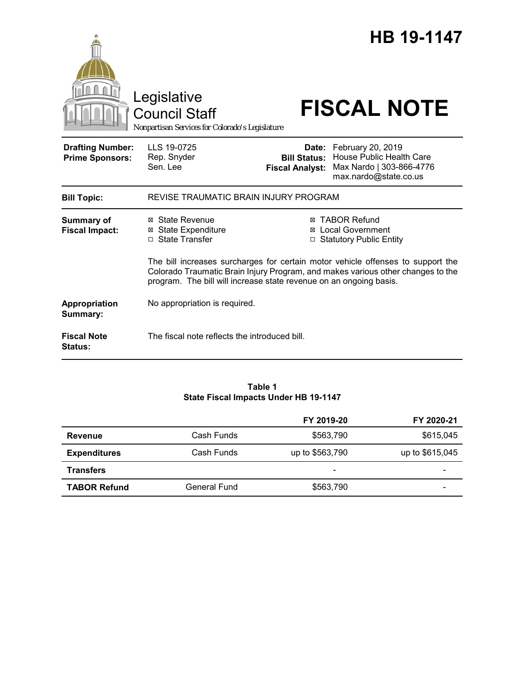|                                                   | Legislative<br><b>Council Staff</b><br>Nonpartisan Services for Colorado's Legislature                                                  |                                               | <b>HB 19-1147</b><br><b>FISCAL NOTE</b>                                                                                                                                                                                                                |
|---------------------------------------------------|-----------------------------------------------------------------------------------------------------------------------------------------|-----------------------------------------------|--------------------------------------------------------------------------------------------------------------------------------------------------------------------------------------------------------------------------------------------------------|
| <b>Drafting Number:</b><br><b>Prime Sponsors:</b> | LLS 19-0725<br>Rep. Snyder<br>Sen. Lee                                                                                                  | <b>Bill Status:</b><br><b>Fiscal Analyst:</b> | Date: February 20, 2019<br><b>House Public Health Care</b><br>Max Nardo   303-866-4776<br>max.nardo@state.co.us                                                                                                                                        |
| <b>Bill Topic:</b>                                | REVISE TRAUMATIC BRAIN INJURY PROGRAM                                                                                                   |                                               |                                                                                                                                                                                                                                                        |
| <b>Summary of</b><br><b>Fiscal Impact:</b>        | ⊠ State Revenue<br><b>⊠ State Expenditure</b><br>□ State Transfer<br>program. The bill will increase state revenue on an ongoing basis. | ⊠                                             | <b>TABOR Refund</b><br><b>Local Government</b><br><b>Statutory Public Entity</b><br>The bill increases surcharges for certain motor vehicle offenses to support the<br>Colorado Traumatic Brain Injury Program, and makes various other changes to the |
| Appropriation<br>Summary:                         | No appropriation is required.                                                                                                           |                                               |                                                                                                                                                                                                                                                        |
| <b>Fiscal Note</b><br><b>Status:</b>              | The fiscal note reflects the introduced bill.                                                                                           |                                               |                                                                                                                                                                                                                                                        |

#### **Table 1 State Fiscal Impacts Under HB 19-1147**

|                     |              | FY 2019-20      | FY 2020-21      |
|---------------------|--------------|-----------------|-----------------|
| Revenue             | Cash Funds   | \$563,790       | \$615,045       |
| <b>Expenditures</b> | Cash Funds   | up to \$563,790 | up to \$615,045 |
| <b>Transfers</b>    |              | -               |                 |
| <b>TABOR Refund</b> | General Fund | \$563,790       |                 |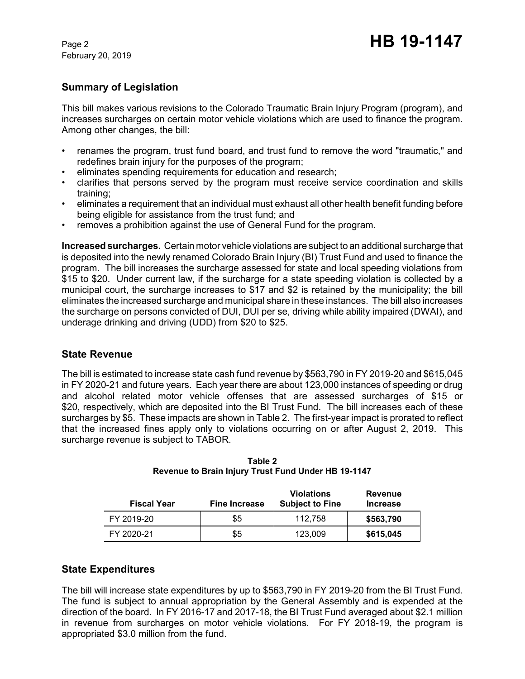February 20, 2019

# **Summary of Legislation**

This bill makes various revisions to the Colorado Traumatic Brain Injury Program (program), and increases surcharges on certain motor vehicle violations which are used to finance the program. Among other changes, the bill:

- renames the program, trust fund board, and trust fund to remove the word "traumatic," and redefines brain injury for the purposes of the program;
- eliminates spending requirements for education and research;
- clarifies that persons served by the program must receive service coordination and skills training;
- eliminates a requirement that an individual must exhaust all other health benefit funding before being eligible for assistance from the trust fund; and
- removes a prohibition against the use of General Fund for the program.

**Increased surcharges.** Certain motor vehicle violations are subject to an additional surcharge that is deposited into the newly renamed Colorado Brain Injury (BI) Trust Fund and used to finance the program. The bill increases the surcharge assessed for state and local speeding violations from \$15 to \$20. Under current law, if the surcharge for a state speeding violation is collected by a municipal court, the surcharge increases to \$17 and \$2 is retained by the municipality; the bill eliminates the increased surcharge and municipal share in these instances. The bill also increases the surcharge on persons convicted of DUI, DUI per se, driving while ability impaired (DWAI), and underage drinking and driving (UDD) from \$20 to \$25.

## **State Revenue**

The bill is estimated to increase state cash fund revenue by \$563,790 in FY 2019-20 and \$615,045 in FY 2020-21 and future years. Each year there are about 123,000 instances of speeding or drug and alcohol related motor vehicle offenses that are assessed surcharges of \$15 or \$20, respectively, which are deposited into the BI Trust Fund. The bill increases each of these surcharges by \$5. These impacts are shown in Table 2. The first-year impact is prorated to reflect that the increased fines apply only to violations occurring on or after August 2, 2019. This surcharge revenue is subject to TABOR.

| <b>Fiscal Year</b> | <b>Fine Increase</b> | <b>Violations</b><br><b>Subject to Fine</b> | <b>Revenue</b><br><b>Increase</b> |
|--------------------|----------------------|---------------------------------------------|-----------------------------------|
| FY 2019-20         | \$5                  | 112.758                                     | \$563,790                         |
| FY 2020-21         | \$5                  | 123,009                                     | \$615,045                         |

**Table 2 Revenue to Brain Injury Trust Fund Under HB 19-1147**

## **State Expenditures**

The bill will increase state expenditures by up to \$563,790 in FY 2019-20 from the BI Trust Fund. The fund is subject to annual appropriation by the General Assembly and is expended at the direction of the board. In FY 2016-17 and 2017-18, the BI Trust Fund averaged about \$2.1 million in revenue from surcharges on motor vehicle violations. For FY 2018-19, the program is appropriated \$3.0 million from the fund.